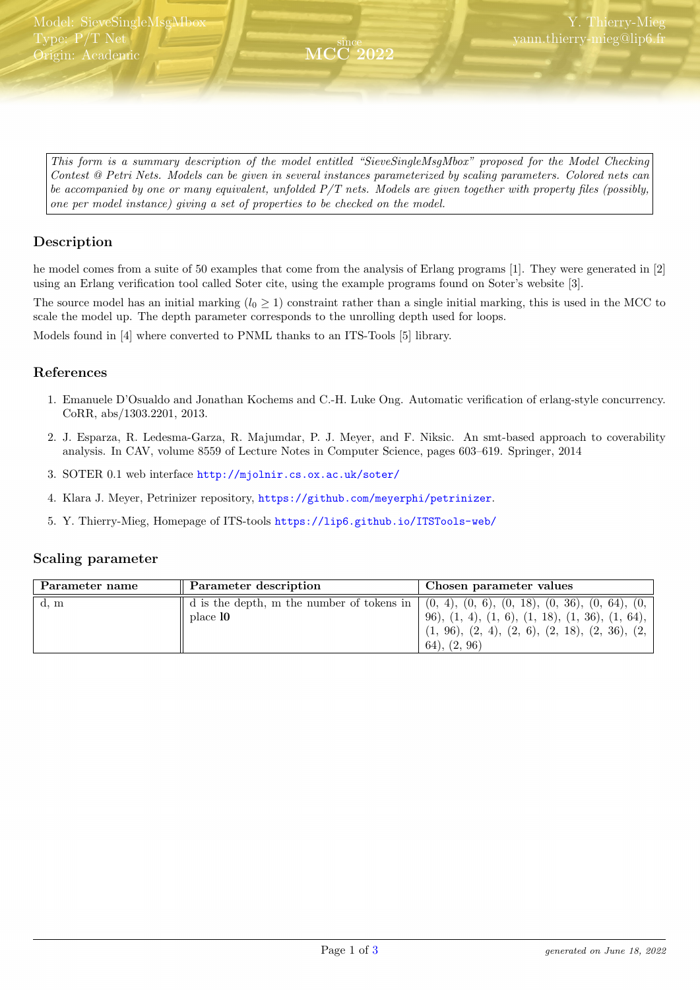<span id="page-0-0"></span>This form is a summary description of the model entitled "SieveSingleMsgMbox" proposed for the Model Checking Contest @ Petri Nets. Models can be given in several instances parameterized by scaling parameters. Colored nets can be accompanied by one or many equivalent, unfolded  $P/T$  nets. Models are given together with property files (possibly, one per model instance) giving a set of properties to be checked on the model.

since MCC 2022

### Description

he model comes from a suite of 50 examples that come from the analysis of Erlang programs [1]. They were generated in [2] using an Erlang verification tool called Soter cite, using the example programs found on Soter's website [3].

The source model has an initial marking  $(l_0 \geq 1)$  constraint rather than a single initial marking, this is used in the MCC to scale the model up. The depth parameter corresponds to the unrolling depth used for loops.

Models found in [4] where converted to PNML thanks to an ITS-Tools [5] library.

#### References

- 1. Emanuele D'Osualdo and Jonathan Kochems and C.-H. Luke Ong. Automatic verification of erlang-style concurrency. CoRR, abs/1303.2201, 2013.
- 2. J. Esparza, R. Ledesma-Garza, R. Majumdar, P. J. Meyer, and F. Niksic. An smt-based approach to coverability analysis. In CAV, volume 8559 of Lecture Notes in Computer Science, pages 603–619. Springer, 2014
- 3. SOTER 0.1 web interface <http://mjolnir.cs.ox.ac.uk/soter/>
- 4. Klara J. Meyer, Petrinizer repository, <https://github.com/meyerphi/petrinizer>.
- 5. Y. Thierry-Mieg, Homepage of ITS-tools <https://lip6.github.io/ITSTools-web/>

#### Scaling parameter

| Parameter name | Parameter description                                                                                                  | Chosen parameter values                                                                                                                 |
|----------------|------------------------------------------------------------------------------------------------------------------------|-----------------------------------------------------------------------------------------------------------------------------------------|
| d, m           | $\parallel$ d is the depth, m the number of tokens in $(0, 4), (0, 6), (0, 18), (0, 36), (0, 64), (0, 64)$<br>place 10 | 96), $(1, 4)$ , $(1, 6)$ , $(1, 18)$ , $(1, 36)$ , $(1, 64)$ ,<br>$(1, 96), (2, 4), (2, 6), (2, 18), (2, 36), (2, 36)$<br>(64), (2, 96) |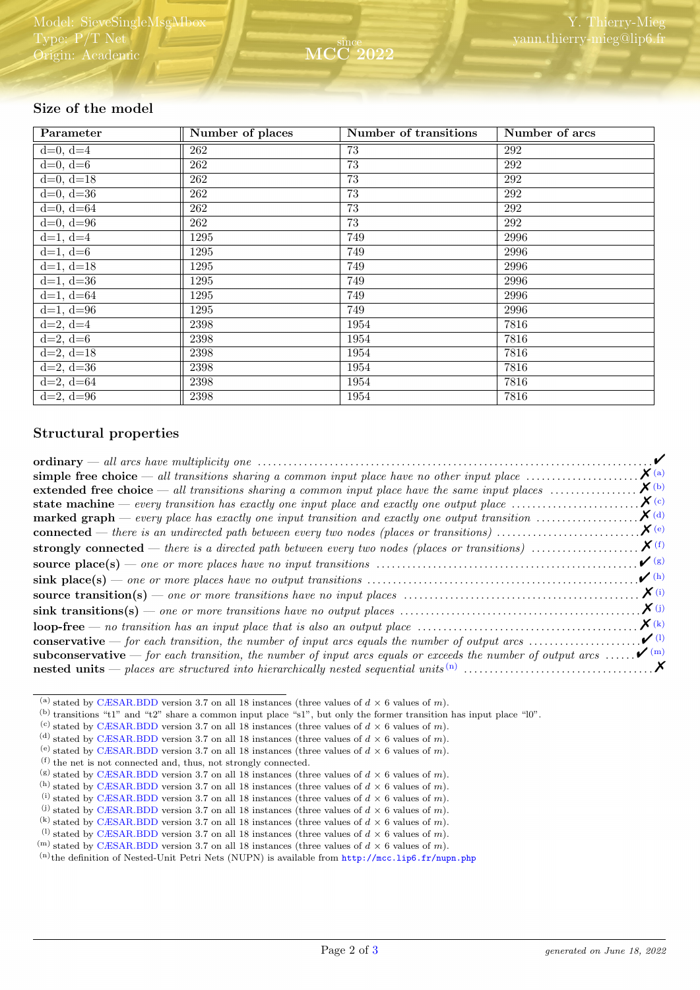## Size of the model

| Parameter   | Number of places | Number of transitions | Number of arcs |
|-------------|------------------|-----------------------|----------------|
| $d=0, d=4$  | 262              | 73                    | 292            |
| $d=0, d=6$  | 262              | 73                    | 292            |
| $d=0, d=18$ | 262              | 73                    | 292            |
| $d=0, d=36$ | 262              | 73                    | 292            |
| $d=0, d=64$ | 262              | 73                    | 292            |
| $d=0, d=96$ | 262              | 73                    | 292            |
| $d=1, d=4$  | 1295             | 749                   | 2996           |
| $d=1, d=6$  | 1295             | 749                   | 2996           |
| $d=1, d=18$ | 1295             | 749                   | 2996           |
| $d=1, d=36$ | 1295             | 749                   | 2996           |
| $d=1, d=64$ | 1295             | 749                   | 2996           |
| $d=1, d=96$ | 1295             | 749                   | 2996           |
| $d=2, d=4$  | 2398             | 1954                  | 7816           |
| $d=2, d=6$  | 2398             | 1954                  | 7816           |
| $d=2, d=18$ | 2398             | 1954                  | 7816           |
| $d=2, d=36$ | 2398             | 1954                  | 7816           |
| $d=2, d=64$ | 2398             | 1954                  | 7816           |
| $d=2, d=96$ | 2398             | 1954                  | 7816           |

## Structural properties

| simple free choice — all transitions sharing a common input place have no other input place $\dots\dots\dots\dots\dots\dots$           | $\mathbf{X}$ (a)                  |
|----------------------------------------------------------------------------------------------------------------------------------------|-----------------------------------|
| <b>extended free choice</b> — all transitions sharing a common input place have the same input places $\dots\dots\dots\dots\dots$      | $\boldsymbol{X}$ (b)              |
| <b>state machine</b> — every transition has exactly one input place and exactly one output place $\dots\dots\dots\dots\dots\dots\dots$ | $\chi$ (c)                        |
| <b>marked graph</b> — every place has exactly one input transition and exactly one output transition $\dots\dots\dots\dots\dots\dots$  | $\boldsymbol{X}$ (d)              |
|                                                                                                                                        | $\mathbf{X}^{(e)}$                |
|                                                                                                                                        |                                   |
|                                                                                                                                        | $\mathcal{V}(g)$                  |
|                                                                                                                                        | $\boldsymbol{\nu}$ (h)            |
|                                                                                                                                        | $\mathbf{X}^{(i)}$                |
|                                                                                                                                        | $\boldsymbol{X}(j)$               |
|                                                                                                                                        | $\mathbf{X}$ (k)                  |
| <b>conservative</b> — for each transition, the number of input arcs equals the number of output arcs $\dots\dots\dots\dots\dots\dots$  | $\boldsymbol{\nu}$ <sup>(1)</sup> |
| <b>subconservative</b> — for each transition, the number of input arcs equals or exceeds the number of output arcs                     | $\boldsymbol{\mathcal{V}}^{(m)}$  |
|                                                                                                                                        |                                   |

<span id="page-1-0"></span><sup>(</sup>a) stated by [CÆSAR.BDD](http://cadp.inria.fr/man/caesar.bdd.html) version 3.7 on all 18 instances (three values of  $d \times 6$  values of m).

<span id="page-1-1"></span><sup>(</sup>b) transitions "t1" and "t2" share a common input place "s1", but only the former transition has input place "l0".

<span id="page-1-2"></span><sup>(</sup>c) stated by [CÆSAR.BDD](http://cadp.inria.fr/man/caesar.bdd.html) version 3.7 on all 18 instances (three values of  $d \times 6$  values of m).

<span id="page-1-3"></span><sup>(</sup>d) stated by [CÆSAR.BDD](http://cadp.inria.fr/man/caesar.bdd.html) version 3.7 on all 18 instances (three values of  $d \times 6$  values of m).

<span id="page-1-4"></span><sup>&</sup>lt;sup>(e)</sup> stated by [CÆSAR.BDD](http://cadp.inria.fr/man/caesar.bdd.html) version 3.7 on all 18 instances (three values of  $d \times 6$  values of m).

<span id="page-1-5"></span><sup>(</sup>f) the net is not connected and, thus, not strongly connected.

<span id="page-1-6"></span><sup>(</sup>g) stated by [CÆSAR.BDD](http://cadp.inria.fr/man/caesar.bdd.html) version 3.7 on all 18 instances (three values of  $d \times 6$  values of m). <sup>(h)</sup> stated by [CÆSAR.BDD](http://cadp.inria.fr/man/caesar.bdd.html) version 3.7 on all 18 instances (three values of  $d \times 6$  values of m).

<span id="page-1-8"></span><span id="page-1-7"></span><sup>(</sup>i) stated by [CÆSAR.BDD](http://cadp.inria.fr/man/caesar.bdd.html) version 3.7 on all 18 instances (three values of  $d \times 6$  values of m).

<span id="page-1-9"></span><sup>(</sup>i) stated by [CÆSAR.BDD](http://cadp.inria.fr/man/caesar.bdd.html) version 3.7 on all 18 instances (three values of  $d \times 6$  values of m).

<span id="page-1-10"></span><sup>(</sup>k) stated by [CÆSAR.BDD](http://cadp.inria.fr/man/caesar.bdd.html) version 3.7 on all 18 instances (three values of  $d \times 6$  values of m).

<span id="page-1-11"></span><sup>&</sup>lt;sup>(1)</sup> stated by [CÆSAR.BDD](http://cadp.inria.fr/man/caesar.bdd.html) version 3.7 on all 18 instances (three values of  $d \times 6$  values of m).

<span id="page-1-12"></span><sup>&</sup>lt;sup>(m)</sup> stated by [CÆSAR.BDD](http://cadp.inria.fr/man/caesar.bdd.html) version 3.7 on all 18 instances (three values of  $d \times 6$  values of m).

<span id="page-1-13"></span> $(n)$ the definition of Nested-Unit Petri Nets (NUPN) is available from <http://mcc.lip6.fr/nupn.php>